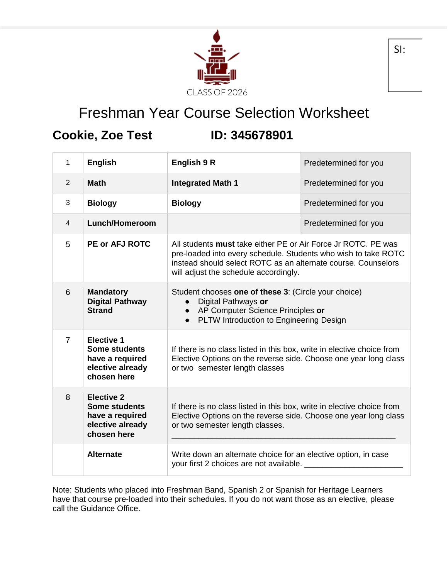

## Freshman Year Course Selection Worksheet

## **Cookie, Zoe Test ID: 345678901**

| 1              | <b>English</b>                                                                                  | English 9 R                                                                                                                                                                                                                                      | Predetermined for you |
|----------------|-------------------------------------------------------------------------------------------------|--------------------------------------------------------------------------------------------------------------------------------------------------------------------------------------------------------------------------------------------------|-----------------------|
| 2              | <b>Math</b>                                                                                     | <b>Integrated Math 1</b>                                                                                                                                                                                                                         | Predetermined for you |
| 3              | <b>Biology</b>                                                                                  | <b>Biology</b>                                                                                                                                                                                                                                   | Predetermined for you |
| $\overline{4}$ | <b>Lunch/Homeroom</b>                                                                           |                                                                                                                                                                                                                                                  | Predetermined for you |
| 5              | <b>PE or AFJ ROTC</b>                                                                           | All students <b>must</b> take either PE or Air Force Jr ROTC. PE was<br>pre-loaded into every schedule. Students who wish to take ROTC<br>instead should select ROTC as an alternate course. Counselors<br>will adjust the schedule accordingly. |                       |
| 6              | <b>Mandatory</b><br><b>Digital Pathway</b><br><b>Strand</b>                                     | Student chooses one of these 3: (Circle your choice)<br>Digital Pathways or<br>AP Computer Science Principles or<br>$\bullet$<br>PLTW Introduction to Engineering Design<br>$\bullet$                                                            |                       |
| $\overline{7}$ | <b>Elective 1</b><br><b>Some students</b><br>have a required<br>elective already<br>chosen here | If there is no class listed in this box, write in elective choice from<br>Elective Options on the reverse side. Choose one year long class<br>or two semester length classes                                                                     |                       |
| 8              | <b>Elective 2</b><br><b>Some students</b><br>have a required<br>elective already<br>chosen here | If there is no class listed in this box, write in elective choice from<br>Elective Options on the reverse side. Choose one year long class<br>or two semester length classes.                                                                    |                       |
|                | <b>Alternate</b>                                                                                | Write down an alternate choice for an elective option, in case<br>your first 2 choices are not available.                                                                                                                                        |                       |

Note: Students who placed into Freshman Band, Spanish 2 or Spanish for Heritage Learners have that course pre-loaded into their schedules. If you do not want those as an elective, please call the Guidance Office.

SI: